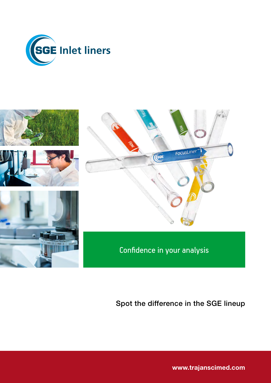



# Spot the difference in the SGE lineup

[www.trajanscimed.com](http://www.trajanscimed.com)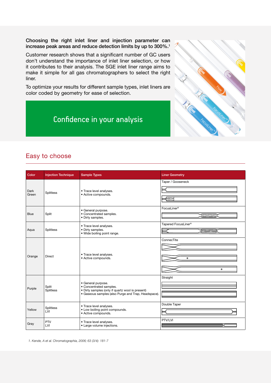Choosing the right inlet liner and injection parameter can increase peak areas and reduce detection limits by up to 300%.1

Customer research shows that a significant number of GC users don't understand the importance of inlet liner selection, or how it contributes to their analysis. The SGE inlet liner range aims to make it simple for all gas chromatographers to select the right liner.

To optimize your results for different sample types, inlet liners are color coded by geometry for ease of selection.

# Confidence in your analysis



## Easy to choose

| Color         | <b>Injection Technique</b> | <b>Sample Types</b>                                                                                                                                      | <b>Liner Geometry</b>                  |
|---------------|----------------------------|----------------------------------------------------------------------------------------------------------------------------------------------------------|----------------------------------------|
| Dark<br>Green | <b>Splitless</b>           | • Trace level analyses.<br>• Active compounds.                                                                                                           | Taper / Gooseneck<br>⋐                 |
| <b>Blue</b>   | Split                      | · General purpose.<br>· Concentrated samples.<br>• Dirty samples.                                                                                        | FocusLiner <sup>®</sup><br>Œ           |
| Aqua          | Splitless                  | • Trace level analyses.<br>• Dirty samples.<br>· Wide boiling point range.                                                                               | Tapered FocusLiner®<br>( <del></del> ) |
| Orange        | <b>Direct</b>              | • Trace level analyses.<br>• Active compounds.                                                                                                           | ConnecTite<br>$\bullet$<br>$\bullet$   |
| Purple        | Split<br>Splitless         | · General purpose.<br>· Concentrated samples.<br>• Dirty samples (only if quartz wool is present)<br>· Gaseous samples (also Purge and Trap, Headspace). | Straight                               |
| Yellow        | Splitless<br>LVI           | • Trace level analyses.<br>• Low boiling point compounds.<br>• Active compounds.                                                                         | Double Taper                           |
| Gray          | PTV<br>LVI                 | • Trace level analyses.<br>• Large volume injections.                                                                                                    | PTV/LVI                                |

*1. Kende, A et al. Chromatographia, 2006; 63 (3/4): 181-7*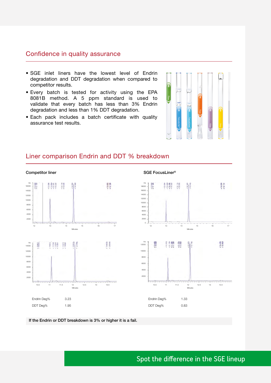### Confidence in quality assurance

- SGE inlet liners have the lowest level of Endrin degradation and DDT degradation when compared to competitor results.
- Every batch is tested for activity using the EPA 8081B method. A 5 ppm standard is used to validate that every batch has less than 3% Endrin degradation and less than 1% DDT degradation.
- Each pack includes a batch certificate with quality assurance test results.



17

19455

+18 655

13 13.5

### Liner comparison Endrin and DDT % breakdown



SGE FocusLiner®

If the Endrin or DDT breakdown is 3% or higher it is a fail.

## Spot the difference in the SGE lineup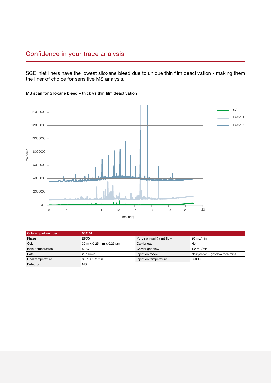## Confidence in your trace analysis

SGE inlet liners have the lowest siloxane bleed due to unique thin film deactivation - making them the liner of choice for sensitive MS analysis.



#### MS scan for Siloxane bleed – thick vs thin film deactivation

| Column part number  | 054101                   |                            |                                    |
|---------------------|--------------------------|----------------------------|------------------------------------|
| Phase               | BPX <sub>5</sub>         | Purge on (split) vent flow | $20 \text{ mL/min}$                |
| Column              | 30 m x 0.25 mm x 0.25 µm | Carrier gas                | He                                 |
| Initial temperature | $50^{\circ}$ C           | Carrier gas flow           | $1.2$ mL/min                       |
| Rate                | $20^{\circ}$ C/min       | Injection mode             | No injection – gas flow for 5 mins |
| Final temperature   | 350°C, 2.2 min           | Injection temperature      | $350^{\circ}$ C                    |
| Detector            | ΜS                       |                            |                                    |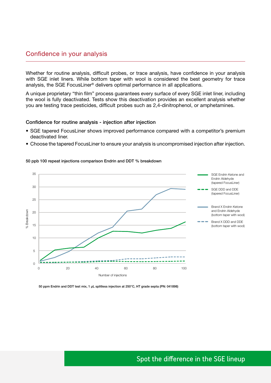### Confidence in your analysis

Whether for routine analysis, difficult probes, or trace analysis, have confidence in your analysis with SGE inlet liners. While bottom taper with wool is considered the best geometry for trace analysis, the SGE FocusLiner® delivers optimal performance in all applications.

A unique proprietary "thin film" process guarantees every surface of every SGE inlet liner, including the wool is fully deactivated. Tests show this deactivation provides an excellent analysis whether you are testing trace pesticides, difficult probes such as 2,4-dinitrophenol, or amphetamines.

#### Confidence for routine analysis - injection after injection

- SGE tapered FocusLiner shows improved performance compared with a competitor's premium deactivated liner.
- Choose the tapered FocusLiner to ensure your analysis is uncompromised injection after injection.

#### 50 ppb 100 repeat injections comparison Endrin and DDT % breakdown



50 ppm Endrin and DDT test mix, 1 µL splitless injection at 250°C, HT grade septa (PN: 041898)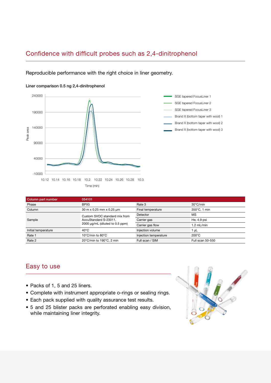## Confidence with difficult probes such as 2,4-dinitrophenol

Reproducible performance with the right choice in liner geometry.







| Column part number  | 054101                                                                                                        |                       |                  |
|---------------------|---------------------------------------------------------------------------------------------------------------|-----------------------|------------------|
| Phase               | BPX <sub>5</sub>                                                                                              | Rate 3                | 30°C/min         |
| Column              | 30 m x 0.25 mm x 0.25 µm                                                                                      | Final temperature     | 350°C, 1 min     |
|                     | <b>MS</b><br>Detector<br>Custom SVOC standard mix from<br>Carrier gas<br>He, 4.9 psi<br>AccuStandard S-23011, |                       |                  |
| Sample              |                                                                                                               |                       |                  |
|                     | 2000 µg/mL (diluted to 0.5 ppm)                                                                               | Carrier gas flow      | 1.2 mL/min       |
| Initial temperature | $40^{\circ}$ C                                                                                                | Injection volume      | 1 uL             |
| Rate 1              | 10 $\degree$ C/min to 80 $\degree$ C                                                                          | Injection temperature | $200^{\circ}$ C  |
| Rate 2              | 20°C/min to 190°C, 2 min                                                                                      | Full scan / SIM       | Full scan 50-550 |

## Easy to use

- Packs of 1, 5 and 25 liners.
- Complete with instrument appropriate o-rings or sealing rings.
- Each pack supplied with quality assurance test results.
- 5 and 25 blister packs are perforated enabling easy division, while maintaining liner integrity.

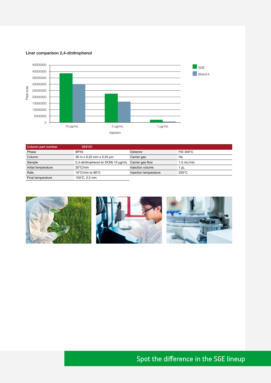#### Liner comparison 2,4-dinitrophenol



| Column part number  | 054101                                               |                       |                 |
|---------------------|------------------------------------------------------|-----------------------|-----------------|
| Phase               | BPX <sub>5</sub>                                     | Detector              | FID 300°C       |
| Column              | 30 m x 0.25 mm x 0.25 µm                             | Carrier gas           | He              |
| Sample              | 2,4-dinitrophenol (in DCM) 10 µg/mL Carrier gas flow |                       | $1.5$ mL/min    |
| Initial temperature | $20^{\circ}$ C/min                                   | Injection volume      | 1 uL            |
| Rate                | 10 $\degree$ C/min to 80 $\degree$ C                 | Injection temperature | $250^{\circ}$ C |
| Final temperature   | 150°C, 2.2 min                                       |                       |                 |



# Spot the difference in the SGE lineup